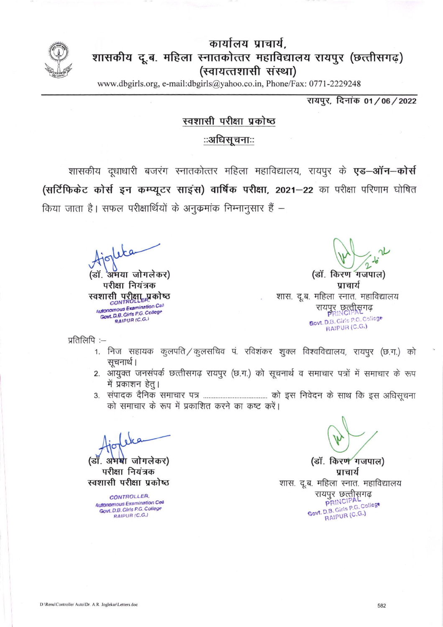

## कार्यालय प्राचार्य. शासकीय दू.ब. महिला स्नातकोत्तर महाविद्यालय रायपुर (छत्तीसगढ) (स्वायत्तशासी संस्था)

www.dbgirls.org, e-mail:dbgirls@yahoo.co.in, Phone/Fax: 0771-2229248

रायपूर, दिनांक 01/06/2022

#### स्वशासी परीक्षा प्रकोष्ठ

### ःअधिसूचनाःः

शासकीय दूधाधारी बजरंग स्नातकोत्तर महिला महाविद्यालय, रायपुर के एड-ऑन-कोर्स (सर्टिफिकेट कोर्स इन कम्प्यूटर साइंस) वार्षिक परीक्षा, 2021-22 का परीक्षा परिणाम घोषित किया जाता है। सफल परीक्षार्थियों के अनुकमांक निम्नानुसार हैं –

अभया जोगलेकर) डाँ.

परीक्षा नियंत्रक स्वशासी परीक्षा प्रकोष्ठ<br>*control setting* Autonomous Examination Call<br>Govt. D.B. Girls P.G. College RAIPUR (C.G.)

(डॉ. किरण गजपाल) प्राचार्य शास. दू.ब. महिला स्नात. महाविद्यालय रायपुर छत्तीसगढ़ Govt. D.B. Girls P.G. College RAIPUR (C.G.)

प्रतिलिपि:-

- 1. निज सहायक कुलपति/कुलसचिव पं. रविशंकर शुक्ल विश्वविद्यालय, रायपुर (छ.ग.) को सूचनार्थ ।
- 2. आयुक्त जनसंपर्क छत्तीसगढ़ रायपुर (छ.ग.) को सूचनार्थ व समाचार पत्रों में समाचार के रूप में प्रकाशन हेतू।
- को समाचार के रूप में प्रकाशित करने का कष्ट करें।

(डाँ. अभ**र्थ**ा जोगलेकर)

परीक्षा नियंत्रक स्वशासी परीक्षा प्रकोष्ठ

CONTROLLER. **Autonomous Examination Cea** Govt. D.B. Girls P.G. College RAIPUR (C.G.)

(डॉ. किरण गजपाल) प्राचार्य शास. दू.ब. महिला स्नात. महाविद्यालय रायपुर छत्तीसगढ़<br>PRINCIPAL Govt. D.B. Girls P.G. College RAIPUR (C.G.)